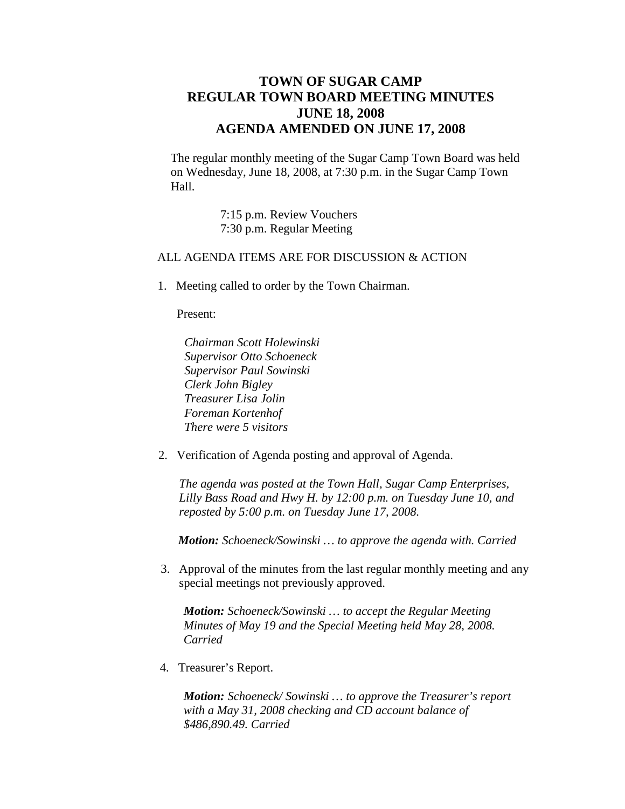## **TOWN OF SUGAR CAMP REGULAR TOWN BOARD MEETING MINUTES JUNE 18, 2008 AGENDA AMENDED ON JUNE 17, 2008**

The regular monthly meeting of the Sugar Camp Town Board was held on Wednesday, June 18, 2008, at 7:30 p.m. in the Sugar Camp Town Hall.

> 7:15 p.m. Review Vouchers 7:30 p.m. Regular Meeting

## ALL AGENDA ITEMS ARE FOR DISCUSSION & ACTION

1. Meeting called to order by the Town Chairman.

Present:

- *Chairman Scott Holewinski Supervisor Otto Schoeneck Supervisor Paul Sowinski Clerk John Bigley Treasurer Lisa Jolin Foreman Kortenhof There were 5 visitors*
- 2. Verification of Agenda posting and approval of Agenda.

*The agenda was posted at the Town Hall, Sugar Camp Enterprises, Lilly Bass Road and Hwy H. by 12:00 p.m. on Tuesday June 10, and reposted by 5:00 p.m. on Tuesday June 17, 2008.*

*Motion: Schoeneck/Sowinski … to approve the agenda with. Carried*

3. Approval of the minutes from the last regular monthly meeting and any special meetings not previously approved.

*Motion: Schoeneck/Sowinski … to accept the Regular Meeting Minutes of May 19 and the Special Meeting held May 28, 2008. Carried*

4. Treasurer's Report.

*Motion: Schoeneck/ Sowinski … to approve the Treasurer's report with a May 31, 2008 checking and CD account balance of \$486,890.49. Carried*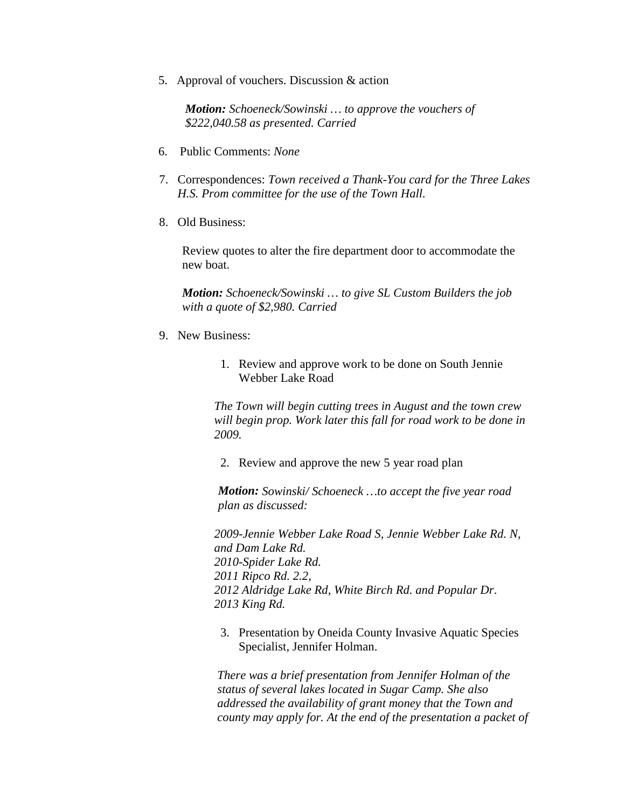5. Approval of vouchers. Discussion & action

*Motion: Schoeneck/Sowinski … to approve the vouchers of \$222,040.58 as presented. Carried*

- 6. Public Comments: *None*
- 7. Correspondences: *Town received a Thank-You card for the Three Lakes H.S. Prom committee for the use of the Town Hall.*
- 8. Old Business:

Review quotes to alter the fire department door to accommodate the new boat.

*Motion: Schoeneck/Sowinski … to give SL Custom Builders the job with a quote of \$2,980. Carried*

- 9. New Business:
	- 1. Review and approve work to be done on South Jennie Webber Lake Road

*The Town will begin cutting trees in August and the town crew will begin prop. Work later this fall for road work to be done in 2009.*

2. Review and approve the new 5 year road plan

*Motion: Sowinski/ Schoeneck …to accept the five year road plan as discussed:*

*2009-Jennie Webber Lake Road S, Jennie Webber Lake Rd. N, and Dam Lake Rd. 2010-Spider Lake Rd. 2011 Ripco Rd. 2.2, 2012 Aldridge Lake Rd, White Birch Rd. and Popular Dr. 2013 King Rd.*

3. Presentation by Oneida County Invasive Aquatic Species Specialist, Jennifer Holman.

*There was a brief presentation from Jennifer Holman of the status of several lakes located in Sugar Camp. She also addressed the availability of grant money that the Town and county may apply for. At the end of the presentation a packet of*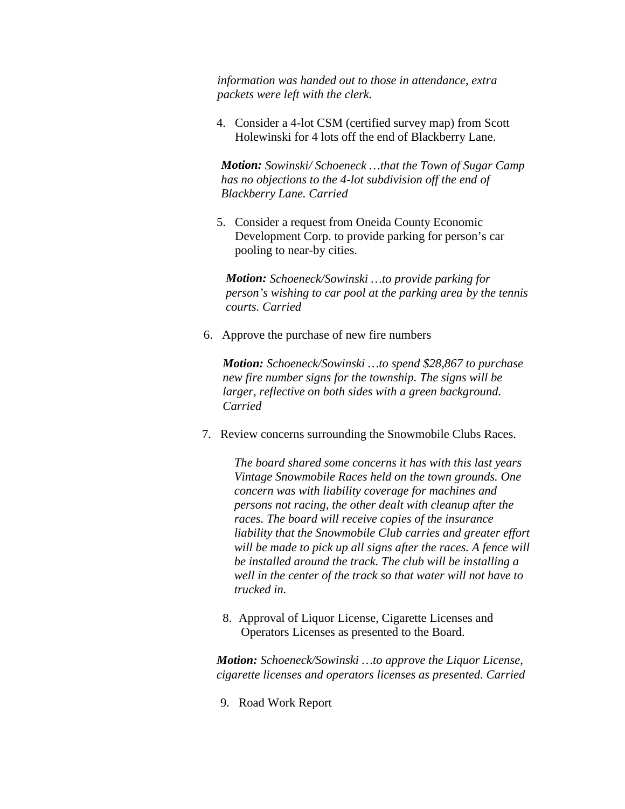*information was handed out to those in attendance, extra packets were left with the clerk.*

4. Consider a 4-lot CSM (certified survey map) from Scott Holewinski for 4 lots off the end of Blackberry Lane.

*Motion: Sowinski/ Schoeneck …that the Town of Sugar Camp has no objections to the 4-lot subdivision off the end of Blackberry Lane. Carried*

5. Consider a request from Oneida County Economic Development Corp. to provide parking for person's car pooling to near-by cities.

*Motion: Schoeneck/Sowinski …to provide parking for person's wishing to car pool at the parking area by the tennis courts. Carried*

6. Approve the purchase of new fire numbers

*Motion: Schoeneck/Sowinski …to spend \$28,867 to purchase new fire number signs for the township. The signs will be larger, reflective on both sides with a green background. Carried*

7. Review concerns surrounding the Snowmobile Clubs Races.

*The board shared some concerns it has with this last years Vintage Snowmobile Races held on the town grounds. One concern was with liability coverage for machines and persons not racing, the other dealt with cleanup after the races. The board will receive copies of the insurance liability that the Snowmobile Club carries and greater effort will be made to pick up all signs after the races. A fence will be installed around the track. The club will be installing a well in the center of the track so that water will not have to trucked in.*

8. Approval of Liquor License, Cigarette Licenses and Operators Licenses as presented to the Board.

*Motion: Schoeneck/Sowinski …to approve the Liquor License, cigarette licenses and operators licenses as presented. Carried*

9. Road Work Report